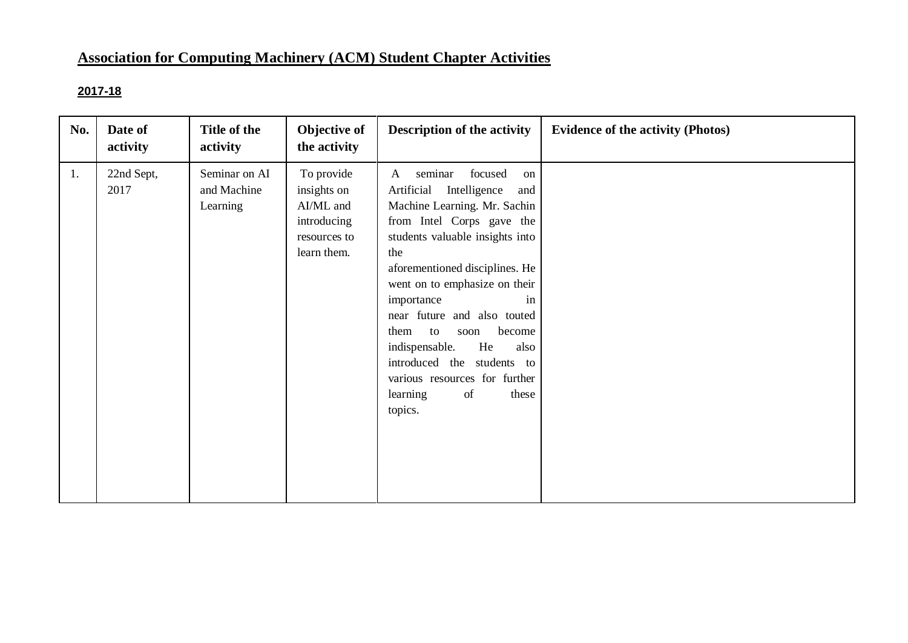# **Association for Computing Machinery (ACM) Student Chapter Activities**

# **2017-18**

| No. | Date of<br>activity | Title of the<br>activity                 | Objective of<br>the activity                                                         | <b>Description of the activity</b>                                                                                                                                                                                                                                                                                                                                                                                                                                              | <b>Evidence of the activity (Photos)</b> |
|-----|---------------------|------------------------------------------|--------------------------------------------------------------------------------------|---------------------------------------------------------------------------------------------------------------------------------------------------------------------------------------------------------------------------------------------------------------------------------------------------------------------------------------------------------------------------------------------------------------------------------------------------------------------------------|------------------------------------------|
| 1.  | 22nd Sept,<br>2017  | Seminar on AI<br>and Machine<br>Learning | To provide<br>insights on<br>AI/ML and<br>introducing<br>resources to<br>learn them. | seminar<br>focused<br>$\mathbf{A}$<br>on<br>Artificial<br>Intelligence<br>and<br>Machine Learning. Mr. Sachin<br>from Intel Corps gave the<br>students valuable insights into<br>the<br>aforementioned disciplines. He<br>went on to emphasize on their<br>importance<br>in<br>near future and also touted<br>become<br>them<br>to<br>soon<br>He<br>indispensable.<br>also<br>introduced the students to<br>various resources for further<br>of<br>learning<br>these<br>topics. |                                          |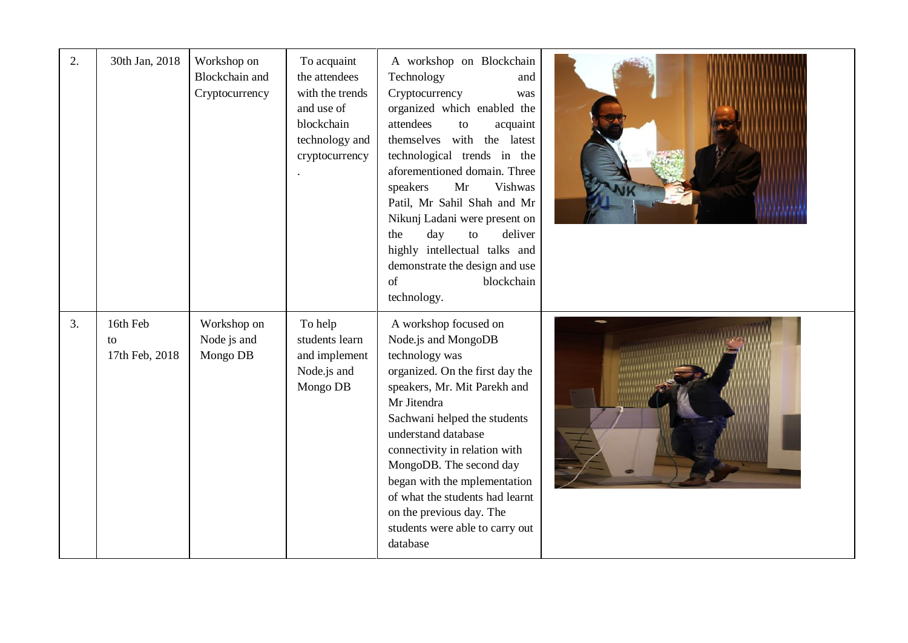| 2. | 30th Jan, 2018                   | Workshop on<br>Blockchain and<br>Cryptocurrency | To acquaint<br>the attendees<br>with the trends<br>and use of<br>blockchain<br>technology and<br>cryptocurrency | A workshop on Blockchain<br>Technology<br>and<br>Cryptocurrency<br>was<br>organized which enabled the<br>attendees<br>acquaint<br>to<br>themselves with the latest<br>technological trends in the<br>aforementioned domain. Three<br>Mr<br>Vishwas<br>speakers<br>Patil, Mr Sahil Shah and Mr<br>Nikunj Ladani were present on<br>deliver<br>day<br>the<br>to<br>highly intellectual talks and<br>demonstrate the design and use<br>of<br>blockchain<br>technology. |  |
|----|----------------------------------|-------------------------------------------------|-----------------------------------------------------------------------------------------------------------------|---------------------------------------------------------------------------------------------------------------------------------------------------------------------------------------------------------------------------------------------------------------------------------------------------------------------------------------------------------------------------------------------------------------------------------------------------------------------|--|
| 3. | 16th Feb<br>to<br>17th Feb, 2018 | Workshop on<br>Node js and<br>Mongo DB          | To help<br>students learn<br>and implement<br>Node.js and<br>Mongo DB                                           | A workshop focused on<br>Node.js and MongoDB<br>technology was<br>organized. On the first day the<br>speakers, Mr. Mit Parekh and<br>Mr Jitendra<br>Sachwani helped the students<br>understand database<br>connectivity in relation with<br>MongoDB. The second day<br>began with the mplementation<br>of what the students had learnt<br>on the previous day. The<br>students were able to carry out<br>database                                                   |  |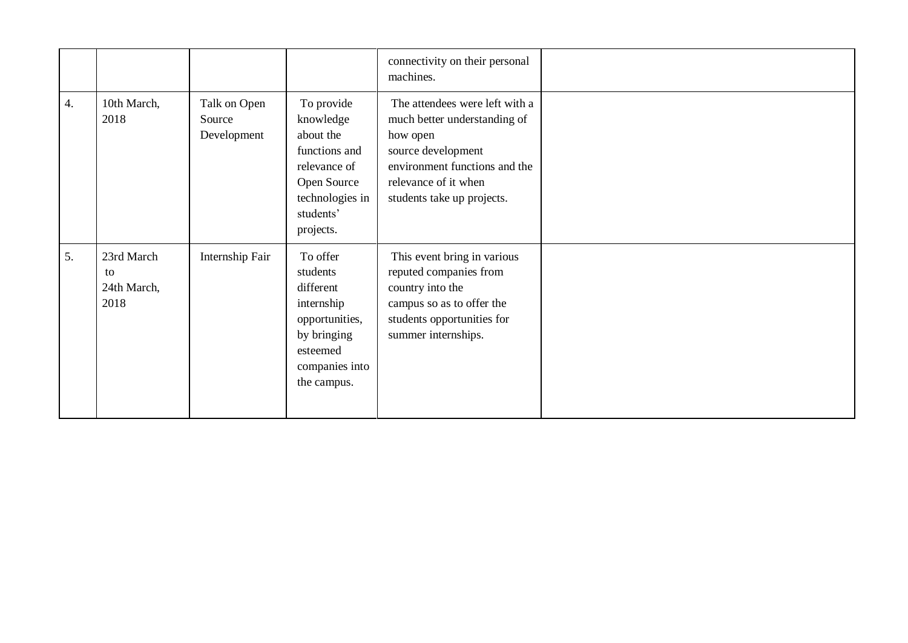|                  |                                         |                                       |                                                                                                                                   | connectivity on their personal<br>machines.                                                                                                                                             |  |
|------------------|-----------------------------------------|---------------------------------------|-----------------------------------------------------------------------------------------------------------------------------------|-----------------------------------------------------------------------------------------------------------------------------------------------------------------------------------------|--|
| $\overline{4}$ . | 10th March,<br>2018                     | Talk on Open<br>Source<br>Development | To provide<br>knowledge<br>about the<br>functions and<br>relevance of<br>Open Source<br>technologies in<br>students'<br>projects. | The attendees were left with a<br>much better understanding of<br>how open<br>source development<br>environment functions and the<br>relevance of it when<br>students take up projects. |  |
| 5.               | 23rd March<br>to<br>24th March,<br>2018 | Internship Fair                       | To offer<br>students<br>different<br>internship<br>opportunities,<br>by bringing<br>esteemed<br>companies into<br>the campus.     | This event bring in various<br>reputed companies from<br>country into the<br>campus so as to offer the<br>students opportunities for<br>summer internships.                             |  |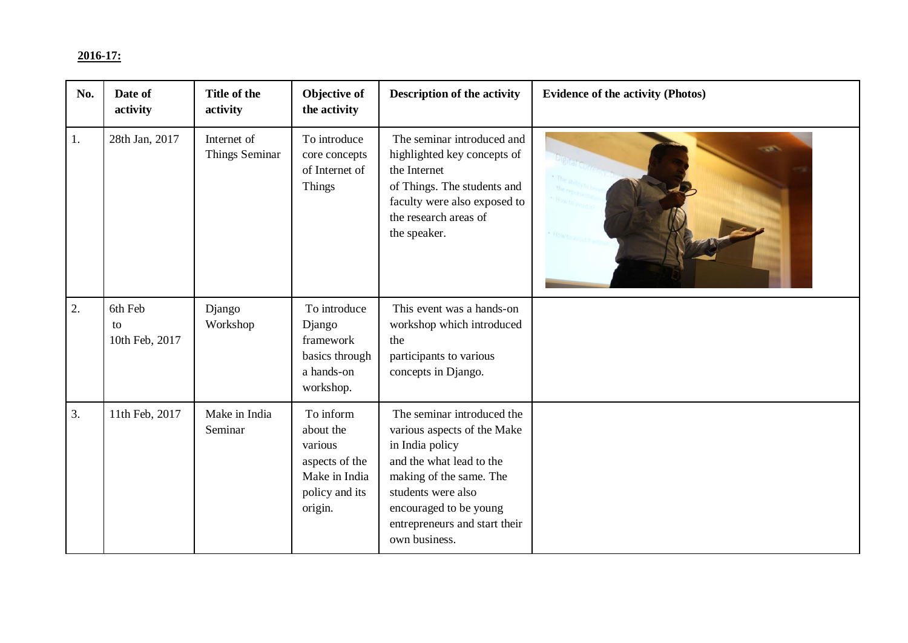## **2016-17:**

| No. | Date of<br>activity             | Title of the<br>activity      | Objective of<br>the activity                                                                      | <b>Description of the activity</b>                                                                                                                                                                                                    | <b>Evidence of the activity (Photos)</b> |
|-----|---------------------------------|-------------------------------|---------------------------------------------------------------------------------------------------|---------------------------------------------------------------------------------------------------------------------------------------------------------------------------------------------------------------------------------------|------------------------------------------|
| 1.  | 28th Jan, 2017                  | Internet of<br>Things Seminar | To introduce<br>core concepts<br>of Internet of<br><b>Things</b>                                  | The seminar introduced and<br>highlighted key concepts of<br>the Internet<br>of Things. The students and<br>faculty were also exposed to<br>the research areas of<br>the speaker.                                                     | -56                                      |
| 2.  | 6th Feb<br>to<br>10th Feb, 2017 | Django<br>Workshop            | To introduce<br>Django<br>framework<br>basics through<br>a hands-on<br>workshop.                  | This event was a hands-on<br>workshop which introduced<br>the<br>participants to various<br>concepts in Django.                                                                                                                       |                                          |
| 3.  | 11th Feb, 2017                  | Make in India<br>Seminar      | To inform<br>about the<br>various<br>aspects of the<br>Make in India<br>policy and its<br>origin. | The seminar introduced the<br>various aspects of the Make<br>in India policy<br>and the what lead to the<br>making of the same. The<br>students were also<br>encouraged to be young<br>entrepreneurs and start their<br>own business. |                                          |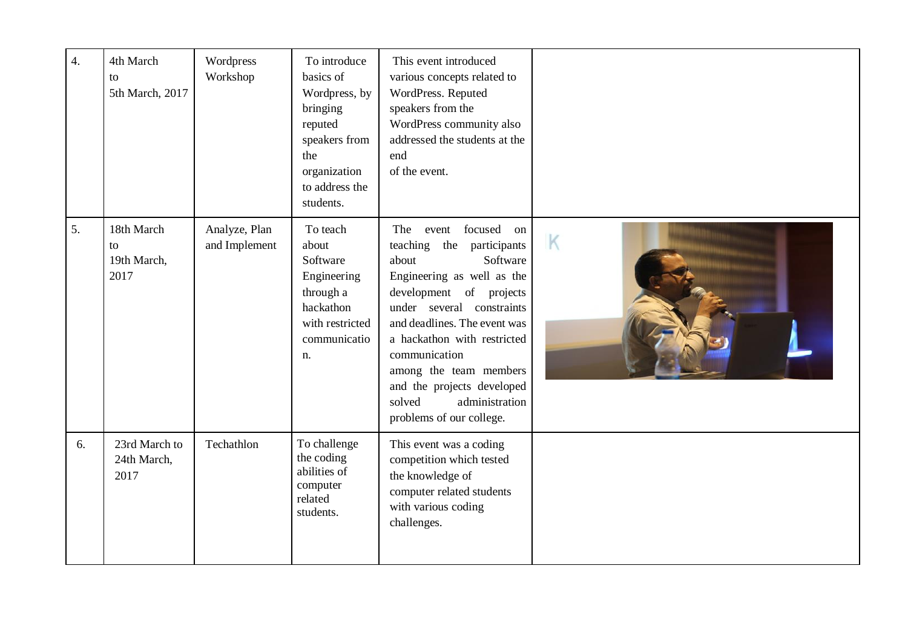| $\overline{4}$ . | 4th March<br>to<br>5th March, 2017      | Wordpress<br>Workshop          | To introduce<br>basics of<br>Wordpress, by<br>bringing<br>reputed<br>speakers from<br>the<br>organization<br>to address the<br>students. | This event introduced<br>various concepts related to<br>WordPress. Reputed<br>speakers from the<br>WordPress community also<br>addressed the students at the<br>end<br>of the event.                                                                                                                                                                                  |   |
|------------------|-----------------------------------------|--------------------------------|------------------------------------------------------------------------------------------------------------------------------------------|-----------------------------------------------------------------------------------------------------------------------------------------------------------------------------------------------------------------------------------------------------------------------------------------------------------------------------------------------------------------------|---|
| 5.               | 18th March<br>to<br>19th March,<br>2017 | Analyze, Plan<br>and Implement | To teach<br>about<br>Software<br>Engineering<br>through a<br>hackathon<br>with restricted<br>communicatio<br>n.                          | focused on<br>The<br>event<br>participants<br>teaching the<br>Software<br>about<br>Engineering as well as the<br>development of projects<br>under several constraints<br>and deadlines. The event was<br>a hackathon with restricted<br>communication<br>among the team members<br>and the projects developed<br>administration<br>solved<br>problems of our college. | K |
| 6.               | 23rd March to<br>24th March,<br>2017    | Techathlon                     | To challenge<br>the coding<br>abilities of<br>computer<br>related<br>students.                                                           | This event was a coding<br>competition which tested<br>the knowledge of<br>computer related students<br>with various coding<br>challenges.                                                                                                                                                                                                                            |   |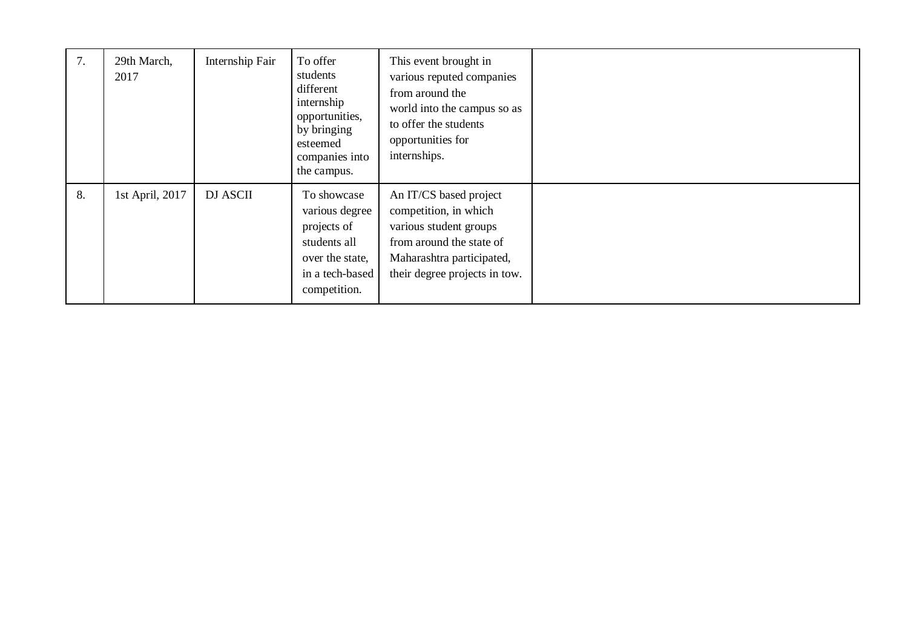| 7. | 29th March,<br>2017 | Internship Fair | To offer<br>students<br>different<br>internship<br>opportunities,<br>by bringing<br>esteemed<br>companies into<br>the campus. | This event brought in<br>various reputed companies<br>from around the<br>world into the campus so as<br>to offer the students<br>opportunities for<br>internships.  |  |
|----|---------------------|-----------------|-------------------------------------------------------------------------------------------------------------------------------|---------------------------------------------------------------------------------------------------------------------------------------------------------------------|--|
| 8. | 1st April, 2017     | <b>DJ ASCII</b> | To showcase<br>various degree<br>projects of<br>students all<br>over the state,<br>in a tech-based<br>competition.            | An IT/CS based project<br>competition, in which<br>various student groups<br>from around the state of<br>Maharashtra participated,<br>their degree projects in tow. |  |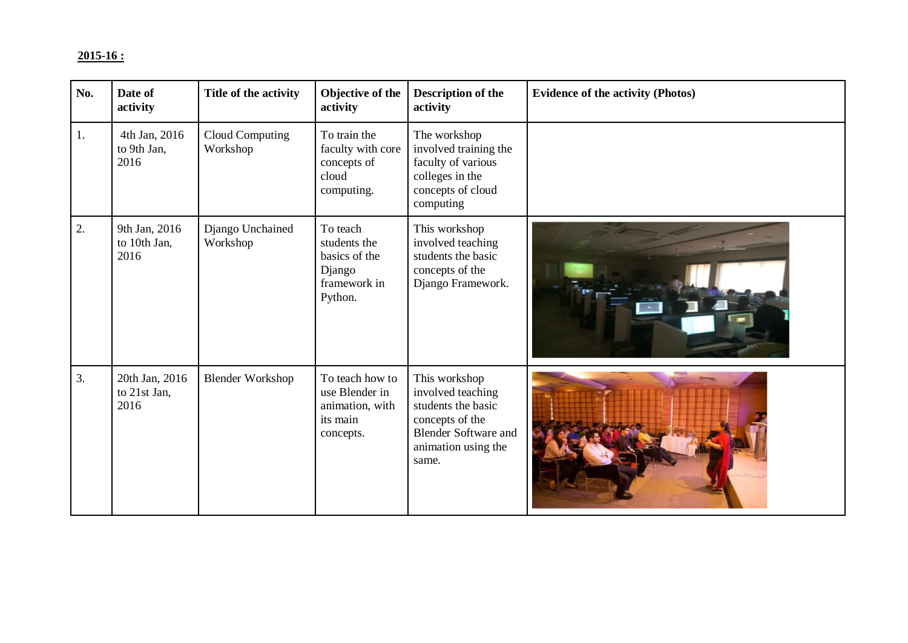# **2015-16 :**

| No. | Date of<br>activity                    | Title of the activity              | Objective of the<br>activity                                                   | <b>Description of the</b><br>activity                                                                                                      | <b>Evidence of the activity (Photos)</b> |
|-----|----------------------------------------|------------------------------------|--------------------------------------------------------------------------------|--------------------------------------------------------------------------------------------------------------------------------------------|------------------------------------------|
| 1.  | 4th Jan, 2016<br>to 9th Jan,<br>2016   | <b>Cloud Computing</b><br>Workshop | To train the<br>faculty with core<br>concepts of<br>cloud<br>computing.        | The workshop<br>involved training the<br>faculty of various<br>colleges in the<br>concepts of cloud<br>computing                           |                                          |
| 2.  | 9th Jan, 2016<br>to 10th Jan,<br>2016  | Django Unchained<br>Workshop       | To teach<br>students the<br>basics of the<br>Django<br>framework in<br>Python. | This workshop<br>involved teaching<br>students the basic<br>concepts of the<br>Django Framework.                                           |                                          |
| 3.  | 20th Jan, 2016<br>to 21st Jan,<br>2016 | <b>Blender Workshop</b>            | To teach how to<br>use Blender in<br>animation, with<br>its main<br>concepts.  | This workshop<br>involved teaching<br>students the basic<br>concepts of the<br><b>Blender Software and</b><br>animation using the<br>same. |                                          |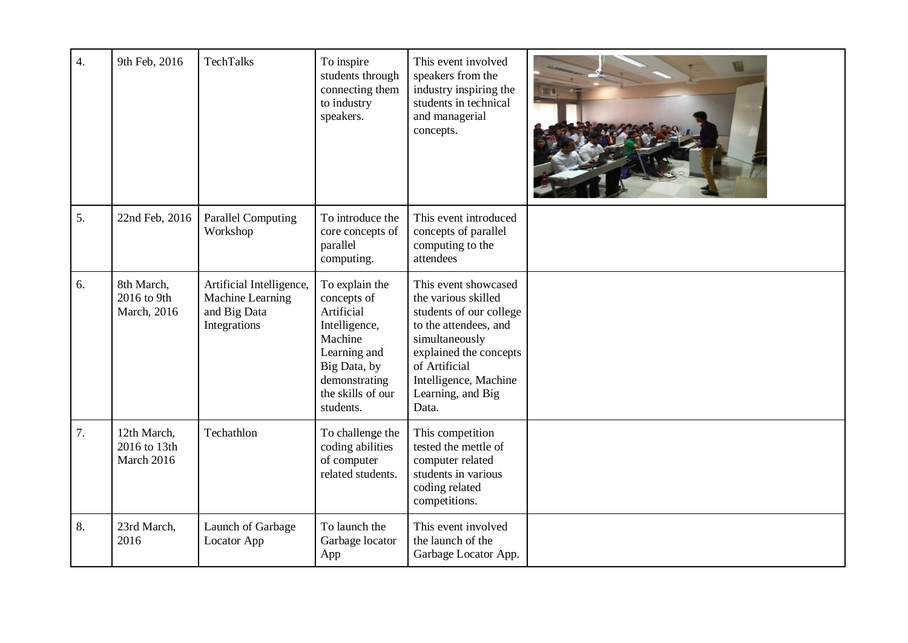| $\overline{4}$ . | 9th Feb, 2016                             | TechTalks                                                                    | To inspire<br>students through<br>connecting them<br>to industry<br>speakers.                                                                              | This event involved<br>speakers from the<br>industry inspiring the<br>students in technical<br>and managerial<br>concepts.                                                                                          |  |
|------------------|-------------------------------------------|------------------------------------------------------------------------------|------------------------------------------------------------------------------------------------------------------------------------------------------------|---------------------------------------------------------------------------------------------------------------------------------------------------------------------------------------------------------------------|--|
| 5.               | 22nd Feb, 2016                            | <b>Parallel Computing</b><br>Workshop                                        | To introduce the<br>core concepts of<br>parallel<br>computing.                                                                                             | This event introduced<br>concepts of parallel<br>computing to the<br>attendees                                                                                                                                      |  |
| 6.               | 8th March,<br>2016 to 9th<br>March, 2016  | Artificial Intelligence,<br>Machine Learning<br>and Big Data<br>Integrations | To explain the<br>concepts of<br>Artificial<br>Intelligence,<br>Machine<br>Learning and<br>Big Data, by<br>demonstrating<br>the skills of our<br>students. | This event showcased<br>the various skilled<br>students of our college<br>to the attendees, and<br>simultaneously<br>explained the concepts<br>of Artificial<br>Intelligence, Machine<br>Learning, and Big<br>Data. |  |
| 7.               | 12th March,<br>2016 to 13th<br>March 2016 | Techathlon                                                                   | To challenge the<br>coding abilities<br>of computer<br>related students.                                                                                   | This competition<br>tested the mettle of<br>computer related<br>students in various<br>coding related<br>competitions.                                                                                              |  |
| 8.               | 23rd March,<br>2016                       | Launch of Garbage<br>Locator App                                             | To launch the<br>Garbage locator<br>App                                                                                                                    | This event involved<br>the launch of the<br>Garbage Locator App.                                                                                                                                                    |  |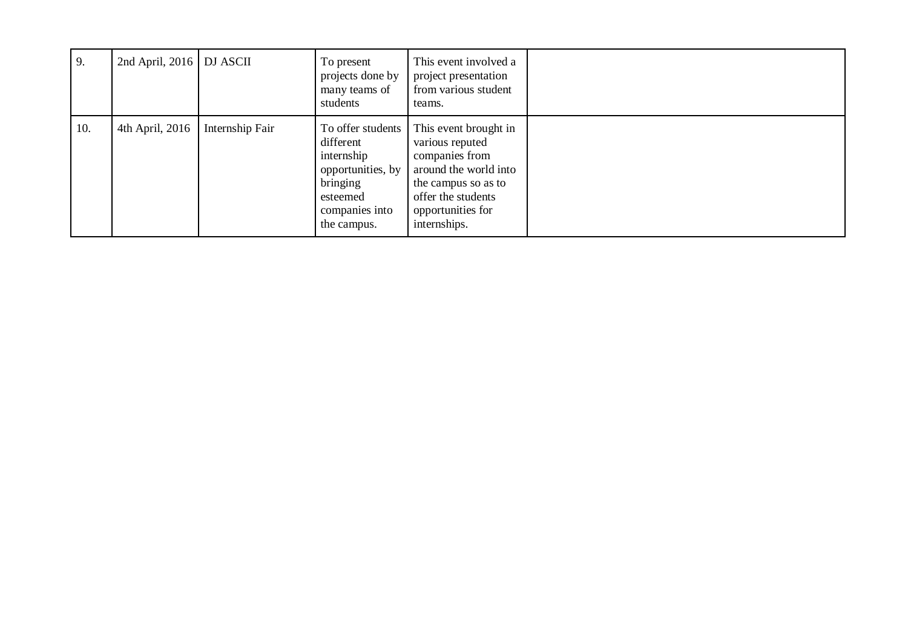| 9.  | 2nd April, 2016   DJ ASCII |                 | To present<br>projects done by<br>many teams of<br>students                                                                | This event involved a<br>project presentation<br>from various student<br>teams.                                                                                       |  |
|-----|----------------------------|-----------------|----------------------------------------------------------------------------------------------------------------------------|-----------------------------------------------------------------------------------------------------------------------------------------------------------------------|--|
| 10. | 4th April, 2016            | Internship Fair | To offer students<br>different<br>internship<br>opportunities, by<br>bringing<br>esteemed<br>companies into<br>the campus. | This event brought in<br>various reputed<br>companies from<br>around the world into<br>the campus so as to<br>offer the students<br>opportunities for<br>internships. |  |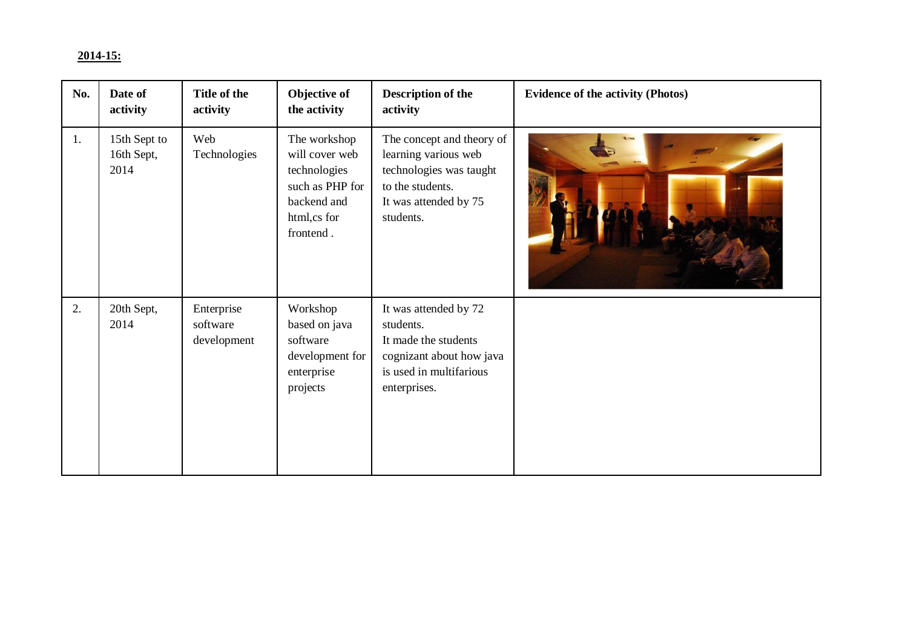## **2014-15:**

| No. | Date of<br>activity                | Title of the<br>activity              | Objective of<br>the activity                                                                                 | Description of the<br>activity                                                                                                         | <b>Evidence of the activity (Photos)</b> |
|-----|------------------------------------|---------------------------------------|--------------------------------------------------------------------------------------------------------------|----------------------------------------------------------------------------------------------------------------------------------------|------------------------------------------|
| 1.  | 15th Sept to<br>16th Sept,<br>2014 | Web<br>Technologies                   | The workshop<br>will cover web<br>technologies<br>such as PHP for<br>backend and<br>html,cs for<br>frontend. | The concept and theory of<br>learning various web<br>technologies was taught<br>to the students.<br>It was attended by 75<br>students. |                                          |
| 2.  | 20th Sept,<br>2014                 | Enterprise<br>software<br>development | Workshop<br>based on java<br>software<br>development for<br>enterprise<br>projects                           | It was attended by 72<br>students.<br>It made the students<br>cognizant about how java<br>is used in multifarious<br>enterprises.      |                                          |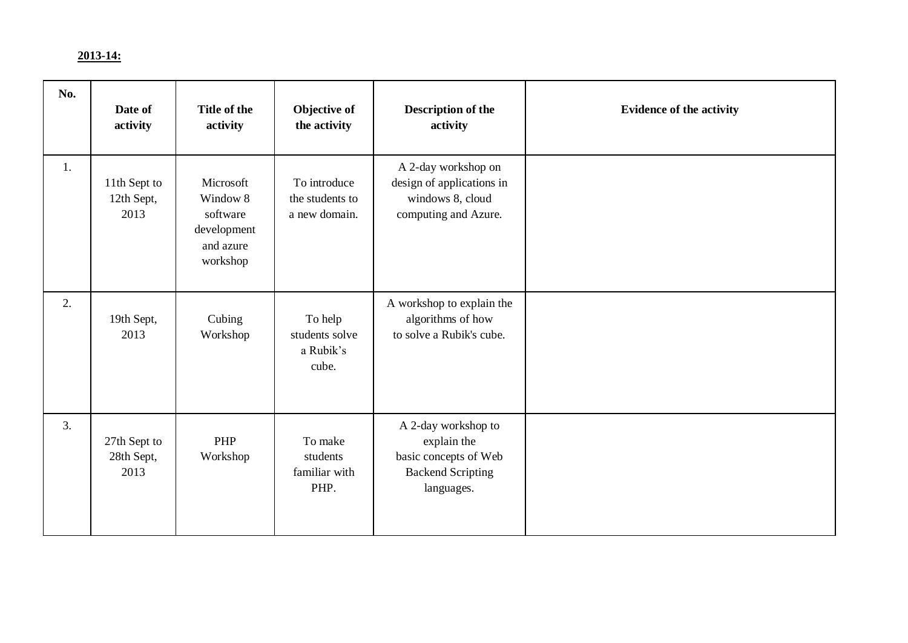## **2013-14:**

| No. | Date of<br>activity                | Title of the<br>activity                                                  | Objective of<br>the activity                     | <b>Description of the</b><br>activity                                                                 | <b>Evidence of the activity</b> |
|-----|------------------------------------|---------------------------------------------------------------------------|--------------------------------------------------|-------------------------------------------------------------------------------------------------------|---------------------------------|
| 1.  | 11th Sept to<br>12th Sept,<br>2013 | Microsoft<br>Window 8<br>software<br>development<br>and azure<br>workshop | To introduce<br>the students to<br>a new domain. | A 2-day workshop on<br>design of applications in<br>windows 8, cloud<br>computing and Azure.          |                                 |
| 2.  | 19th Sept,<br>2013                 | Cubing<br>Workshop                                                        | To help<br>students solve<br>a Rubik's<br>cube.  | A workshop to explain the<br>algorithms of how<br>to solve a Rubik's cube.                            |                                 |
| 3.  | 27th Sept to<br>28th Sept,<br>2013 | PHP<br>Workshop                                                           | To make<br>students<br>familiar with<br>PHP.     | A 2-day workshop to<br>explain the<br>basic concepts of Web<br><b>Backend Scripting</b><br>languages. |                                 |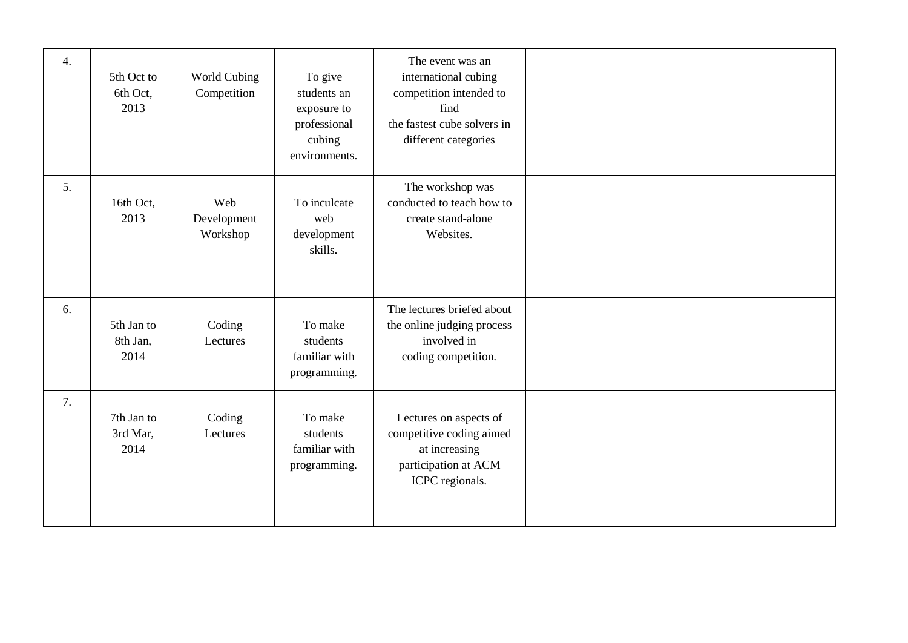| $\overline{4}$ . | 5th Oct to<br>6th Oct,<br>2013 | World Cubing<br>Competition    | To give<br>students an<br>exposure to<br>professional<br>cubing<br>environments. | The event was an<br>international cubing<br>competition intended to<br>find<br>the fastest cube solvers in<br>different categories |  |
|------------------|--------------------------------|--------------------------------|----------------------------------------------------------------------------------|------------------------------------------------------------------------------------------------------------------------------------|--|
| 5.               | 16th Oct,<br>2013              | Web<br>Development<br>Workshop | To inculcate<br>web<br>development<br>skills.                                    | The workshop was<br>conducted to teach how to<br>create stand-alone<br>Websites.                                                   |  |
| 6.               | 5th Jan to<br>8th Jan,<br>2014 | Coding<br>Lectures             | To make<br>students<br>familiar with<br>programming.                             | The lectures briefed about<br>the online judging process<br>involved in<br>coding competition.                                     |  |
| 7.               | 7th Jan to<br>3rd Mar,<br>2014 | Coding<br>Lectures             | To make<br>students<br>familiar with<br>programming.                             | Lectures on aspects of<br>competitive coding aimed<br>at increasing<br>participation at ACM<br>ICPC regionals.                     |  |